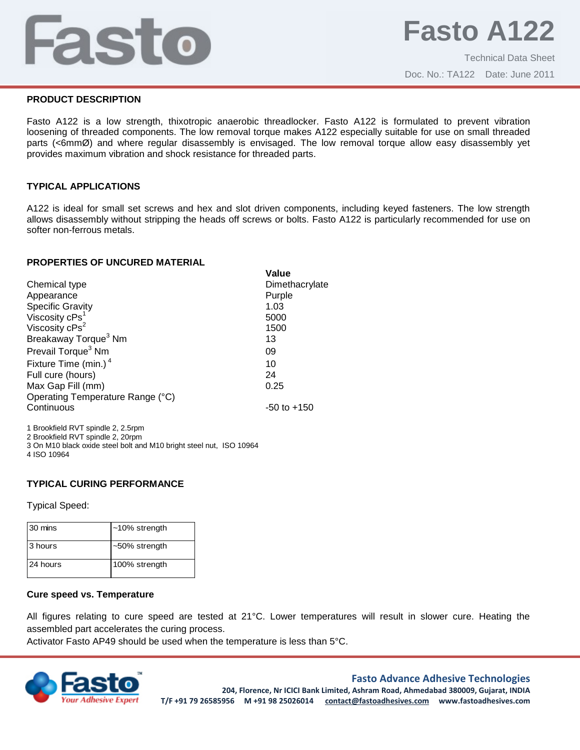## Fasto

Doc. No.: TA122 Date: June 2011

#### **PRODUCT DESCRIPTION**

Fasto A122 is a low strength, thixotropic anaerobic threadlocker. Fasto A122 is formulated to prevent vibration loosening of threaded components. The low removal torque makes A122 especially suitable for use on small threaded parts (<6mmØ) and where regular disassembly is envisaged. The low removal torque allow easy disassembly yet provides maximum vibration and shock resistance for threaded parts.

#### **TYPICAL APPLICATIONS**

A122 is ideal for small set screws and hex and slot driven components, including keyed fasteners. The low strength allows disassembly without stripping the heads off screws or bolts. Fasto A122 is particularly recommended for use on softer non-ferrous metals.

**Value**

#### **PROPERTIES OF UNCURED MATERIAL**

|                                  | value           |
|----------------------------------|-----------------|
| Chemical type                    | Dimethacrylate  |
| Appearance                       | Purple          |
| <b>Specific Gravity</b>          | 1.03            |
| Viscosity cPs <sup>1</sup>       | 5000            |
| Viscosity cPs <sup>2</sup>       | 1500            |
| Breakaway Torque <sup>3</sup> Nm | 13              |
| Prevail Torque <sup>3</sup> Nm   | 09              |
| Fixture Time (min.) <sup>4</sup> | 10              |
| Full cure (hours)                | 24              |
| Max Gap Fill (mm)                | 0.25            |
| Operating Temperature Range (°C) |                 |
| Continuous                       | $-50$ to $+150$ |
|                                  |                 |

1 Brookfield RVT spindle 2, 2.5rpm 2 Brookfield RVT spindle 2, 20rpm 3 On M10 black oxide steel bolt and M10 bright steel nut, ISO 10964 4 ISO 10964

## **TYPICAL CURING PERFORMANCE**

Typical Speed:

| 30 mins  | $~10\%$ strength |
|----------|------------------|
| 3 hours  | ~50% strength    |
| 24 hours | 100% strength    |

#### **Cure speed vs. Temperature**

All figures relating to cure speed are tested at 21°C. Lower temperatures will result in slower cure. Heating the assembled part accelerates the curing process.

Activator Fasto AP49 should be used when the temperature is less than 5°C.



## **Fasto Advance Adhesive Technologies**

**204, Florence, Nr ICICI Bank Limited, Ashram Road, Ahmedabad 380009, Gujarat, INDIA T/F +91 79 26585956 M +91 98 25026014 contact@fastoadhesives.com www.fastoadhesives.com**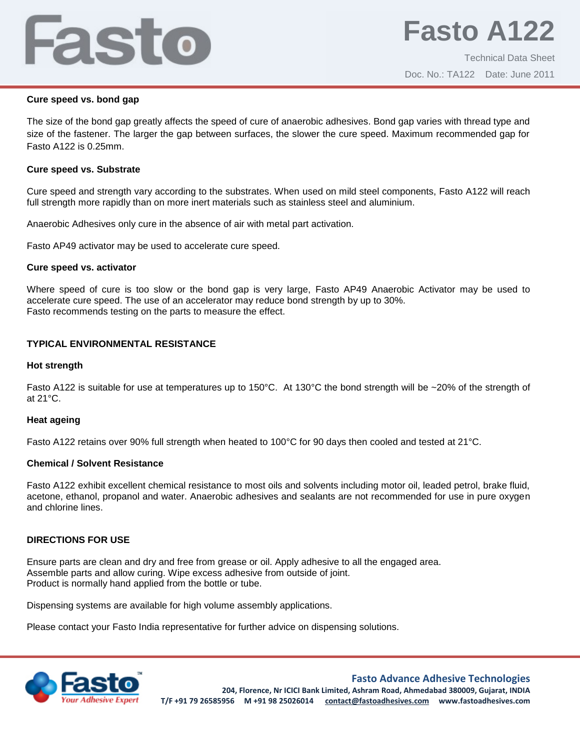# Fasto

## **Cure speed vs. bond gap**

The size of the bond gap greatly affects the speed of cure of anaerobic adhesives. Bond gap varies with thread type and size of the fastener. The larger the gap between surfaces, the slower the cure speed. Maximum recommended gap for Fasto A122 is 0.25mm.

## **Cure speed vs. Substrate**

Cure speed and strength vary according to the substrates. When used on mild steel components, Fasto A122 will reach full strength more rapidly than on more inert materials such as stainless steel and aluminium.

Anaerobic Adhesives only cure in the absence of air with metal part activation.

Fasto AP49 activator may be used to accelerate cure speed.

## **Cure speed vs. activator**

Where speed of cure is too slow or the bond gap is very large, Fasto AP49 Anaerobic Activator may be used to accelerate cure speed. The use of an accelerator may reduce bond strength by up to 30%. Fasto recommends testing on the parts to measure the effect.

## **TYPICAL ENVIRONMENTAL RESISTANCE**

## **Hot strength**

Fasto A122 is suitable for use at temperatures up to 150°C. At 130°C the bond strength will be ~20% of the strength of at 21°C.

## **Heat ageing**

Fasto A122 retains over 90% full strength when heated to 100°C for 90 days then cooled and tested at 21°C.

## **Chemical / Solvent Resistance**

Fasto A122 exhibit excellent chemical resistance to most oils and solvents including motor oil, leaded petrol, brake fluid, acetone, ethanol, propanol and water. Anaerobic adhesives and sealants are not recommended for use in pure oxygen and chlorine lines.

## **DIRECTIONS FOR USE**

Ensure parts are clean and dry and free from grease or oil. Apply adhesive to all the engaged area. Assemble parts and allow curing. Wipe excess adhesive from outside of joint. Product is normally hand applied from the bottle or tube.

Dispensing systems are available for high volume assembly applications.

Please contact your Fasto India representative for further advice on dispensing solutions.



## **Fasto Advance Adhesive Technologies**

**204, Florence, Nr ICICI Bank Limited, Ashram Road, Ahmedabad 380009, Gujarat, INDIA T/F +91 79 26585956 M +91 98 25026014 contact@fastoadhesives.com www.fastoadhesives.com**